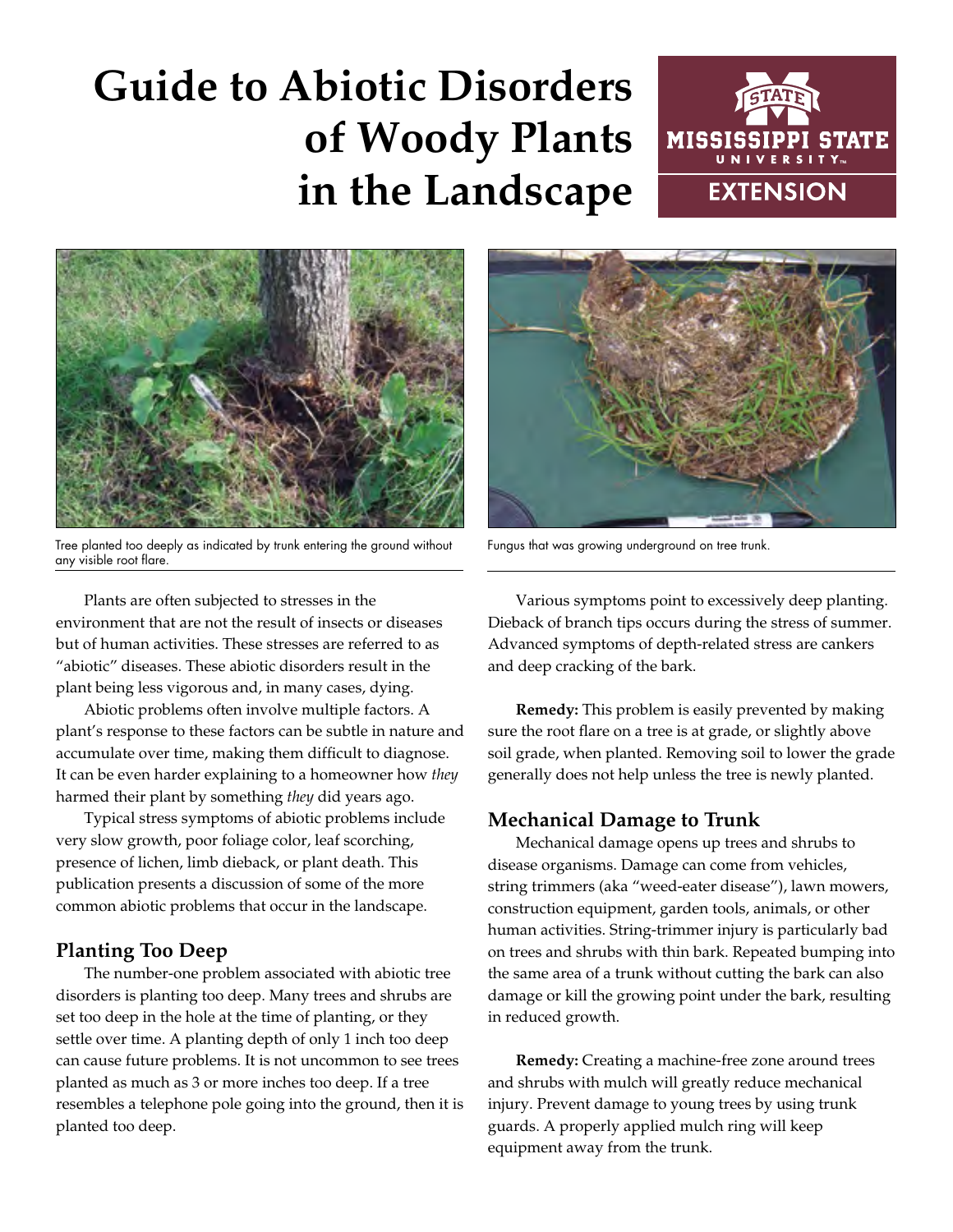# **Guide to Abiotic Disorders of Woody Plants in the Landscape**





Tree planted too deeply as indicated by trunk entering the ground without any visible root flare.

Plants are often subjected to stresses in the environment that are not the result of insects or diseases but of human activities. These stresses are referred to as "abiotic" diseases. These abiotic disorders result in the plant being less vigorous and, in many cases, dying.

Abiotic problems often involve multiple factors. A plant's response to these factors can be subtle in nature and accumulate over time, making them difficult to diagnose. It can be even harder explaining to a homeowner how *they* harmed their plant by something *they* did years ago.

Typical stress symptoms of abiotic problems include very slow growth, poor foliage color, leaf scorching, presence of lichen, limb dieback, or plant death. This publication presents a discussion of some of the more common abiotic problems that occur in the landscape.

## **Planting Too Deep**

The number-one problem associated with abiotic tree disorders is planting too deep. Many trees and shrubs are set too deep in the hole at the time of planting, or they settle over time. A planting depth of only 1 inch too deep can cause future problems. It is not uncommon to see trees planted as much as 3 or more inches too deep. If a tree resembles a telephone pole going into the ground, then it is planted too deep.



Fungus that was growing underground on tree trunk.

Various symptoms point to excessively deep planting. Dieback of branch tips occurs during the stress of summer. Advanced symptoms of depth-related stress are cankers and deep cracking of the bark.

**Remedy:** This problem is easily prevented by making sure the root flare on a tree is at grade, or slightly above soil grade, when planted. Removing soil to lower the grade generally does not help unless the tree is newly planted.

## **Mechanical Damage to Trunk**

Mechanical damage opens up trees and shrubs to disease organisms. Damage can come from vehicles, string trimmers (aka "weed-eater disease"), lawn mowers, construction equipment, garden tools, animals, or other human activities. String-trimmer injury is particularly bad on trees and shrubs with thin bark. Repeated bumping into the same area of a trunk without cutting the bark can also damage or kill the growing point under the bark, resulting in reduced growth.

**Remedy:** Creating a machine-free zone around trees and shrubs with mulch will greatly reduce mechanical injury. Prevent damage to young trees by using trunk guards. A properly applied mulch ring will keep equipment away from the trunk.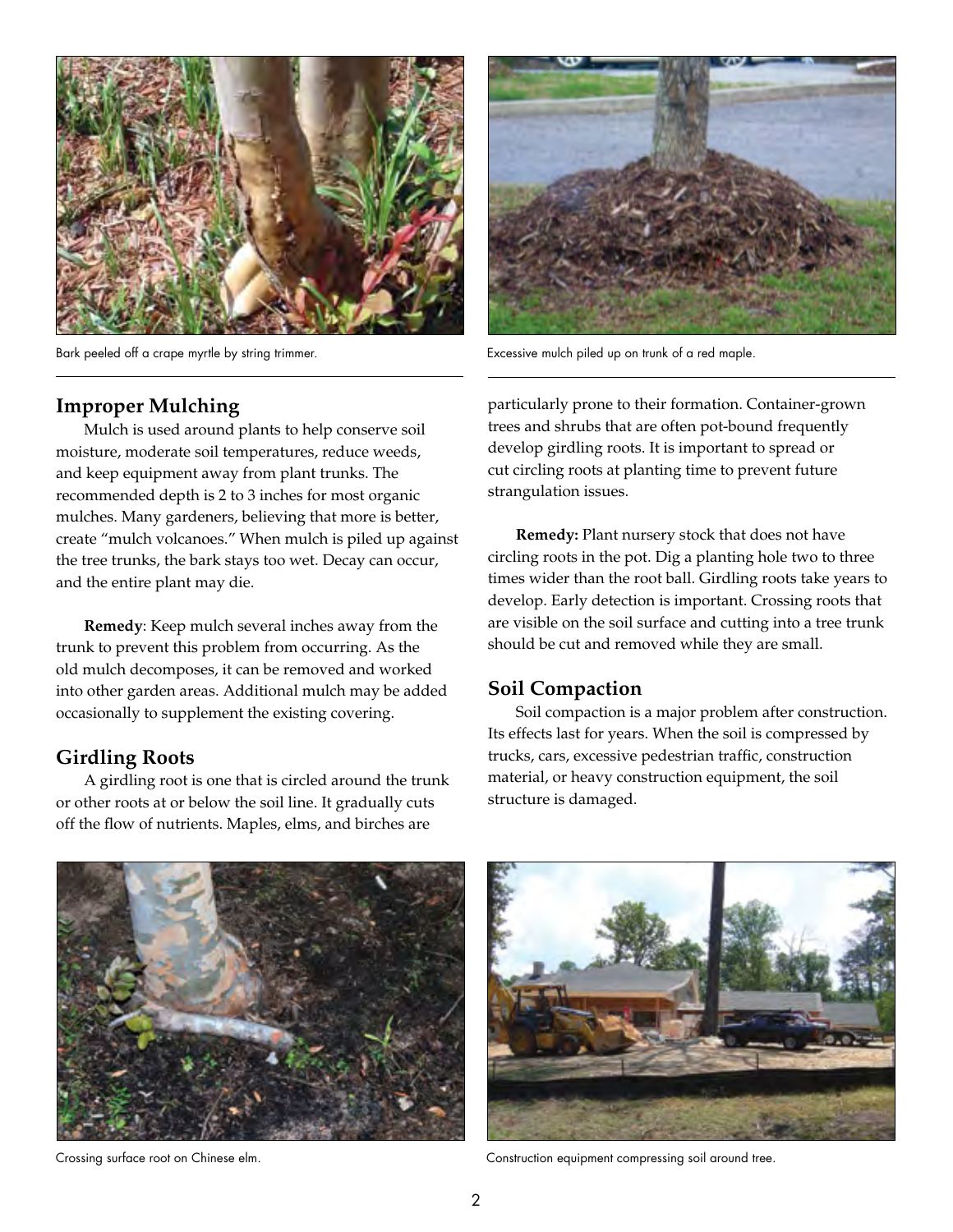

Bark peeled off a crape myrtle by string trimmer.

#### **Improper Mulching**

Mulch is used around plants to help conserve soil moisture, moderate soil temperatures, reduce weeds, and keep equipment away from plant trunks. The recommended depth is 2 to 3 inches for most organic mulches. Many gardeners, believing that more is better, create "mulch volcanoes." When mulch is piled up against the tree trunks, the bark stays too wet. Decay can occur, and the entire plant may die.

**Remedy**: Keep mulch several inches away from the trunk to prevent this problem from occurring. As the old mulch decomposes, it can be removed and worked into other garden areas. Additional mulch may be added occasionally to supplement the existing covering.

### **Girdling Roots**

A girdling root is one that is circled around the trunk or other roots at or below the soil line. It gradually cuts off the flow of nutrients. Maples, elms, and birches are



Excessive mulch piled up on trunk of a red maple.

particularly prone to their formation. Container-grown trees and shrubs that are often pot-bound frequently develop girdling roots. It is important to spread or cut circling roots at planting time to prevent future strangulation issues.

**Remedy:** Plant nursery stock that does not have circling roots in the pot. Dig a planting hole two to three times wider than the root ball. Girdling roots take years to develop. Early detection is important. Crossing roots that are visible on the soil surface and cutting into a tree trunk should be cut and removed while they are small.

#### **Soil Compaction**

Soil compaction is a major problem after construction. Its effects last for years. When the soil is compressed by trucks, cars, excessive pedestrian traffic, construction material, or heavy construction equipment, the soil structure is damaged.





Crossing surface root on Chinese elm. Construction equipment compressing soil around tree.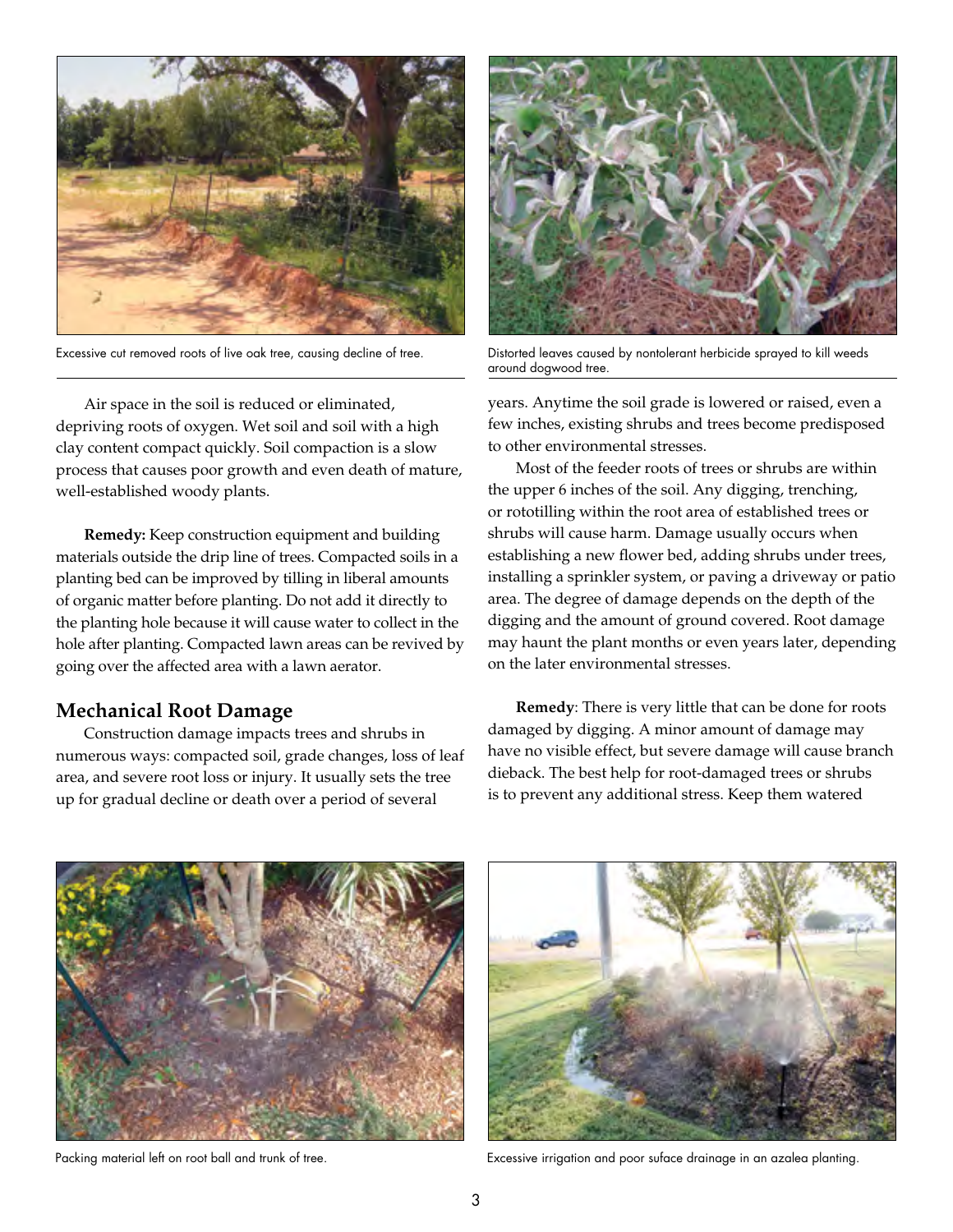

Excessive cut removed roots of live oak tree, causing decline of tree.

Air space in the soil is reduced or eliminated, depriving roots of oxygen. Wet soil and soil with a high clay content compact quickly. Soil compaction is a slow process that causes poor growth and even death of mature, well-established woody plants.

**Remedy:** Keep construction equipment and building materials outside the drip line of trees. Compacted soils in a planting bed can be improved by tilling in liberal amounts of organic matter before planting. Do not add it directly to the planting hole because it will cause water to collect in the hole after planting. Compacted lawn areas can be revived by going over the affected area with a lawn aerator.

#### **Mechanical Root Damage**

Construction damage impacts trees and shrubs in numerous ways: compacted soil, grade changes, loss of leaf area, and severe root loss or injury. It usually sets the tree up for gradual decline or death over a period of several



Distorted leaves caused by nontolerant herbicide sprayed to kill weeds around dogwood tree.

years. Anytime the soil grade is lowered or raised, even a few inches, existing shrubs and trees become predisposed to other environmental stresses.

Most of the feeder roots of trees or shrubs are within the upper 6 inches of the soil. Any digging, trenching, or rototilling within the root area of established trees or shrubs will cause harm. Damage usually occurs when establishing a new flower bed, adding shrubs under trees, installing a sprinkler system, or paving a driveway or patio area. The degree of damage depends on the depth of the digging and the amount of ground covered. Root damage may haunt the plant months or even years later, depending on the later environmental stresses.

**Remedy**: There is very little that can be done for roots damaged by digging. A minor amount of damage may have no visible effect, but severe damage will cause branch dieback. The best help for root-damaged trees or shrubs is to prevent any additional stress. Keep them watered



Packing material left on root ball and trunk of tree.



Excessive irrigation and poor suface drainage in an azalea planting.